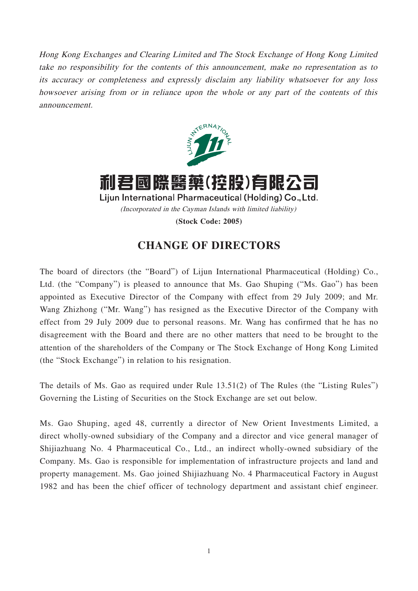Hong Kong Exchanges and Clearing Limited and The Stock Exchange of Hong Kong Limited take no responsibility for the contents of this announcement, make no representation as to its accuracy or completeness and expressly disclaim any liability whatsoever for any loss howsoever arising from or in reliance upon the whole or any part of the contents of this announcement.



利君國際醫藥(控股)有限公司 Lijun International Pharmaceutical (Holding) Co., Ltd. (Incorporated in the Cayman Islands with limited liability) **(Stock Code: 2005)**

## **CHANGE OF DIRECTORS**

The board of directors (the "Board") of Lijun International Pharmaceutical (Holding) Co., Ltd. (the "Company") is pleased to announce that Ms. Gao Shuping ("Ms. Gao") has been appointed as Executive Director of the Company with effect from 29 July 2009; and Mr. Wang Zhizhong ("Mr. Wang") has resigned as the Executive Director of the Company with effect from 29 July 2009 due to personal reasons. Mr. Wang has confirmed that he has no disagreement with the Board and there are no other matters that need to be brought to the attention of the shareholders of the Company or The Stock Exchange of Hong Kong Limited (the "Stock Exchange") in relation to his resignation.

The details of Ms. Gao as required under Rule 13.51(2) of The Rules (the "Listing Rules") Governing the Listing of Securities on the Stock Exchange are set out below.

Ms. Gao Shuping, aged 48, currently a director of New Orient Investments Limited, a direct wholly-owned subsidiary of the Company and a director and vice general manager of Shijiazhuang No. 4 Pharmaceutical Co., Ltd., an indirect wholly-owned subsidiary of the Company. Ms. Gao is responsible for implementation of infrastructure projects and land and property management. Ms. Gao joined Shijiazhuang No. 4 Pharmaceutical Factory in August 1982 and has been the chief officer of technology department and assistant chief engineer.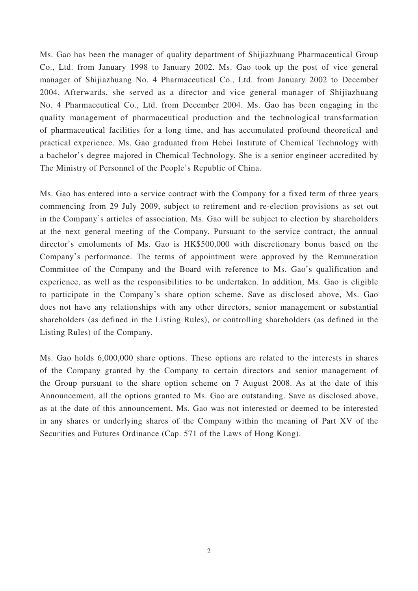Ms. Gao has been the manager of quality department of Shijiazhuang Pharmaceutical Group Co., Ltd. from January 1998 to January 2002. Ms. Gao took up the post of vice general manager of Shijiazhuang No. 4 Pharmaceutical Co., Ltd. from January 2002 to December 2004. Afterwards, she served as a director and vice general manager of Shijiazhuang No. 4 Pharmaceutical Co., Ltd. from December 2004. Ms. Gao has been engaging in the quality management of pharmaceutical production and the technological transformation of pharmaceutical facilities for a long time, and has accumulated profound theoretical and practical experience. Ms. Gao graduated from Hebei Institute of Chemical Technology with a bachelor's degree majored in Chemical Technology. She is a senior engineer accredited by The Ministry of Personnel of the People's Republic of China.

Ms. Gao has entered into a service contract with the Company for a fixed term of three years commencing from 29 July 2009, subject to retirement and re-election provisions as set out in the Company's articles of association. Ms. Gao will be subject to election by shareholders at the next general meeting of the Company. Pursuant to the service contract, the annual director's emoluments of Ms. Gao is HK\$500,000 with discretionary bonus based on the Company's performance. The terms of appointment were approved by the Remuneration Committee of the Company and the Board with reference to Ms. Gao's qualification and experience, as well as the responsibilities to be undertaken. In addition, Ms. Gao is eligible to participate in the Company's share option scheme. Save as disclosed above, Ms. Gao does not have any relationships with any other directors, senior management or substantial shareholders (as defined in the Listing Rules), or controlling shareholders (as defined in the Listing Rules) of the Company.

Ms. Gao holds 6,000,000 share options. These options are related to the interests in shares of the Company granted by the Company to certain directors and senior management of the Group pursuant to the share option scheme on 7 August 2008. As at the date of this Announcement, all the options granted to Ms. Gao are outstanding. Save as disclosed above, as at the date of this announcement, Ms. Gao was not interested or deemed to be interested in any shares or underlying shares of the Company within the meaning of Part XV of the Securities and Futures Ordinance (Cap. 571 of the Laws of Hong Kong).